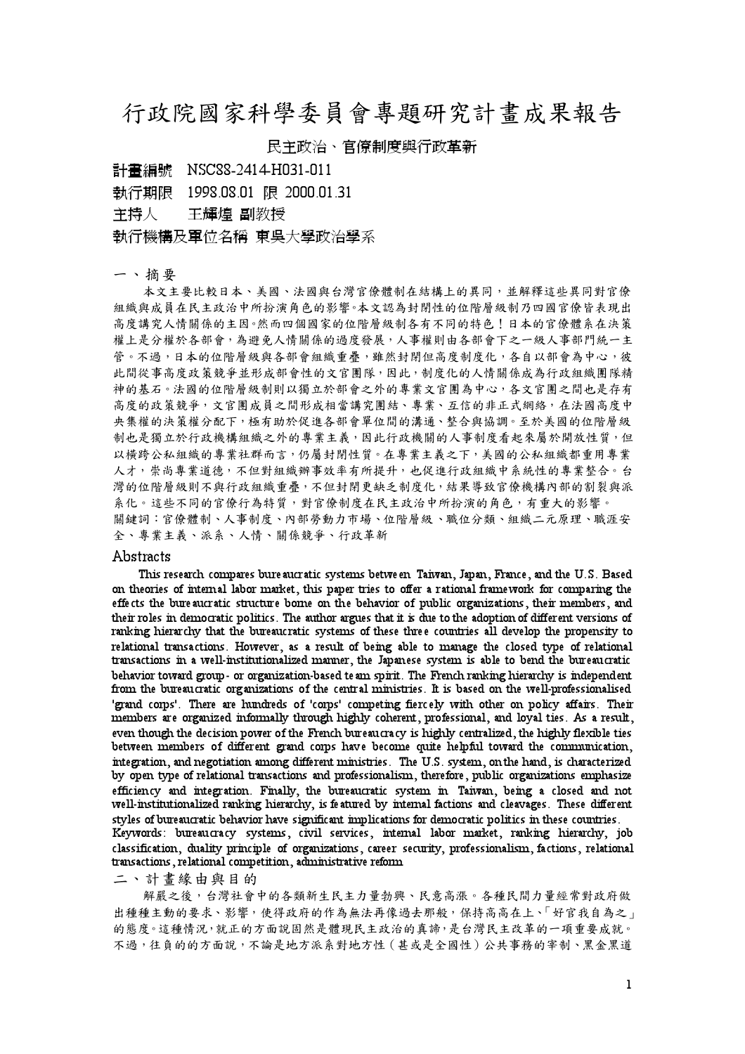## 行政院國家科學委員會專題研究計畫成果報告

## 民主政治、官僚制度與行政革新

計畫編號 NSC88-2414-H031-011

執行期限 1998.08.01 限 2000.01.31

主持人 干輝煌 副教授

執行機構及軍位名稱 東吳大學政治學系

## 一、摘要

本文主要比較日本、美國、法國與台灣官僚體制在結構上的異同,並解釋這些異同對官僚 組織與成員在民主政治中所扮演角色的影響。本文認為封閉性的位階層級制乃四國官僚皆表現出 高度講究人情關係的主因。然而四個國家的位階層級制各有不同的特色!日本的官僚體系在決策 權上是分權於各部會,為避免人情關係的過度發展,人事權則由各部會下之一級人事部門統一主 管。不過,日本的位階層級與各部會組織重疊,雖然封閉但高度制度化,各自以部會為中心,彼 此間從事高度政策競爭並形成部會性的文官團隊,因此,制度化的人情關係成為行政組織團隊精 神的基石。法國的位階層級制則以獨立於部會之外的專業文官團為中心,各文官團之間也是存有 高度的政策競爭,文官團成員之間形成相當講究團結、專業、互信的非正式網絡,在法國高度中 央集權的決策權分配下,極有助於促進各部會單位間的溝通、整合與協調。至於美國的位階層級 制也是獨立於行政機構組織之外的專業主義,因此行政機關的人事制度看起來屬於開放性質,但 以横跨公私組織的專業社群而言,仍屬封閉性質。在專業主義之下,美國的公私組織都重用專業 人才,崇尚專業道德,不但對組織辦事效率有所提升,也促進行政組織中系統性的專業整合。台 灣的位階層級則不與行政組織重疊,不但封閉更缺乏制度化,結果導致官僚機構內部的割裂與派 系化。這些不同的官僚行為特質,對官僚制度在民主政治中所扮演的角色,有重大的影響。 關鍵詞:官僚體制、人事制度、內部勞動力市場、位階層級、職位分類、組織二元原理、職涯安 全、專業主義、派系、人情、關係競爭、行政革新

## Abstracts

This research compares bureaucratic systems between Taiwan, Japan, France, and the U.S. Based on theories of internal labor market, this paper tries to offer a rational framework for comparing the effects the bureaucratic structure bome on the behavior of public organizations, their members, and their roles in democratic politics. The author argues that it is due to the adoption of different versions of ranking hierarchy that the bureaucratic systems of these three countries all develop the propensity to relational transactions. However, as a result of being able to manage the closed type of relational transactions in a well-institutionalized manner, the Japanese system is able to bend the bureaucratic behavior toward group - or organization-based team spirit. The French ranking hierarchy is independent from the bureaucratic organizations of the central ministries. It is based on the well-professionalised 'grand corps'. There are hundreds of 'corps' competing fiercely with other on policy affairs. Their members are organized informally through highly coherent, professional, and loyal ties. As a result, even though the decision power of the French bureaucracy is highly centralized, the highly flexible ties between members of different grand corps have become quite helpful toward the communication, integration, and negotiation among different ministries. The U.S. system, on the hand, is characterized by open type of relational transactions and professionalism, therefore, public organizations emphasize efficiency and integration. Finally, the bureaucratic system in Taiwan, being a closed and not well-institutionalized ranking hierarchy, is featured by internal factions and cleavages. These different styles of bureaucratic behavior have significant implications for democratic politics in these countries. Keywords: bureaucracy systems, civil services, internal labor market, ranking hierarchy, job classification, duality principle of organizations, career security, professionalism, factions, relational transactions, relational competition, administrative reform

二、計畫緣由與目的

解嚴之後,台灣社會中的各類新生民主力量勃興、民意高漲。各種民間力量經常對政府做 出種種主動的要求、影響,使得政府的作為無法再像過去那般,保持高高在上、「好官我自為之」 的態度。這種情況,就正的方面說固然是體現民主政治的真諦,是台灣民主改革的一項重要成就。 不過,往負的的方面說,不論是地方派系對地方性(其或是全國性)公共事務的宰制、黑金黑道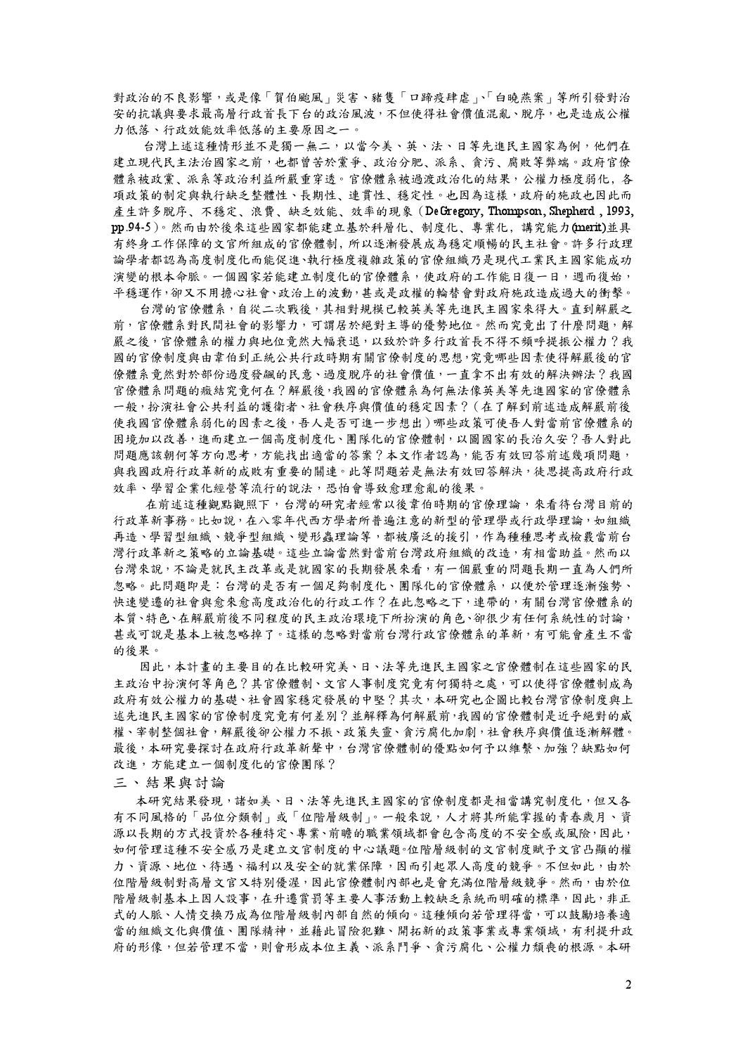對政治的不良影響,或是像「賀伯颱風」災害、豬隻「口蹄疫肆虐」、「白曉燕案」等所引發對治 安的抗議與要求最高層行政首長下台的政治風波,不但使得社會價值混亂、脫序,也是造成公權 力低落、行政效能效率低落的主要原因之一。

台灣上述這種情形並不是獨一無二,以當今美、英、法、日等先進民主國家為例,他們在 建立現代民主法治國家之前,也都曾苦於黨爭、政治分肥、派系、貪污、腐敗等弊端。政府官僚 體系被政黨、派系等政治利益所嚴重穿透。官僚體系被過渡政治化的結果,公權力極度弱化,各 項政策的制定與執行缺乏整體性、長期性、連貫性、穩定性。也因為這樣,政府的施政也因此而 產生許多脫序、不穩定、浪費、缺乏效能、效率的現象 (DeGregory, Thompson, Shepherd, 1993, pp 94-5)。然而由於後來這些國家都能建立基於科層化、制度化、專業化,講究能力(merit)並具 有終身工作保障的文官所組成的官僚體制,所以逐漸發展成為穩定順暢的民主社會。許多行政理 論學者都認為高度制度化而能促進、執行極度複雜政策的官僚組織乃是現代工業民主國家能成功 演變的根本命脈。一個國家若能建立制度化的官僚體系,使政府的工作能日復一日,週而復始, 平穩運作,卻又不用擔心社會、政治上的波動,甚或是政權的輪替會對政府施政造成過大的衝擊。

台灣的官僚體系,自從二次戰後,其相對規模已較英美等先進民主國家來得大。直到解嚴之 前,官僚體系對民間社會的影響力,可謂居於絕對主導的優勢地位。然而究竟出了什麼問題,解 嚴之後,官僚體系的權力與地位竟然大幅衰退,以致於許多行政首長不得不頻呼提振公權力?我 國的官僚制度與由韋伯到正統公共行政時期有關官僚制度的思想,究竟哪些因素使得解嚴後的官 僚體系竟然對於部份過度發飆的民意、過度脫序的社會價值,一直拿不出有效的解決辦法?我國 官僚體系問題的癥結究竟何在?解嚴後,我國的官僚體系為何無法像英美等先進國家的官僚體系 一般,扮演社會公共利益的護衛者、社會秩序與價值的穩定因素? (在了解到前述造成解嚴前後 使我國官僚體系弱化的因素之後,吾人是否可進一步想出)哪些政策可使吾人對當前官僚體系的 困境加以改善, 進而建立一個高度制度化、團隊化的官僚體制, 以圖國家的長治久安? 吾人對此 問題應該朝何等方向思考,方能找出適當的答案?本文作者認為,能否有效回答前述幾項問題, 與我國政府行政革新的成敗有重要的關連。此等問題若是無法有效回答解決,徒思提高政府行政 效率、學習企業化經營等流行的說法,恐怕會導致愈理愈亂的後果。

在前述這種觀點觀照下,台灣的研究者經常以後韋伯時期的官僚理論,來看待台灣目前的 行政革新事務。比如說,在八零年代西方學者所普遍注意的新型的管理學或行政學理論,如組織 再造、學習型組織、競爭型組織、變形蟲理論等,都被廣泛的援引,作為種種思考或檢覈當前台 灣行政革新之策略的立論基礎。這些立論當然對當前台灣政府組織的改造,有相當助益。然而以 台灣來說,不論是就民主改革或是就國家的長期發展來看,有一個嚴重的問題長期一直為人們所 忽略。此問題即是:台灣的是否有一個足夠制度化、團隊化的官僚體系,以便於管理逐漸強勢、 快速變遷的社會與愈來愈高度政治化的行政工作?在此忽略之下,連帶的,有關台灣官僚體系的 本質、特色、在解嚴前後不同程度的民主政治環境下所扮演的角色、卻很少有任何系統性的討論, 甚或可說是基本上被忽略掉了。這樣的忽略對當前台灣行政官僚體系的革新,有可能會產生不當 的後果。

因此,本計書的主要目的在比較研究美、日、法等先進民主國家之官僚體制在這些國家的民 主政治中扮演何等角色?其官僚體制、文官人事制度究竟有何獨特之處,可以使得官僚體制成為 政府有效公權力的基礎、社會國家穩定發展的中堅?其次,本研究也企圖比較台灣官僚制度與上 述先進民主國家的官僚制度究竟有何差別?並解釋為何解嚴前,我國的官僚體制是近乎絕對的威 權、宰制整個社會,解嚴後卻公權力不振、政策失靈、貪污腐化加劇,社會秩序與價值逐漸解體。 最後,本研究要探討在政府行政革新聲中,台灣官僚體制的優點如何予以維繫、加強?缺點如何 改進,方能建立一個制度化的官僚團隊?

三、結果與討論

本研究結果發現,諸如美、日、法等先進民主國家的官僚制度都是相當講究制度化,但又各 有不同風格的「品位分類制」或「位階層級制」。一般來說,人才將其所能掌握的青春歲月、資 源以長期的方式投資於各種特定、專業、前瞻的職業領域都會包含高度的不安全感或風險,因此, 如何管理這種不安全感乃是建立文官制度的中心議題。位階層級制的文官制度賦予文官凸顯的權 力、資源、地位、待遇、福利以及安全的就業保障,因而引起眾人高度的競爭。不但如此,由於 位階層級制對高層文官又特別優渥,因此官僚體制內部也是會充滿位階層級競爭。然而,由於位 階層級制基本上因人設事,在升遷賞罰等主要人事活動上較缺乏系統而明確的標準,因此,非正 式的人脈、人情交換乃成為位階層級制內部自然的傾向。這種傾向若管理得當,可以鼓勵培養適 當的組織文化與價值、團隊精神,並藉此冒險犯難、開拓新的政策事業或專業領域,有利提升政 府的形像,但若管理不當,則會形成本位主義、派系鬥爭、貪污腐化、公權力頹喪的根源。本研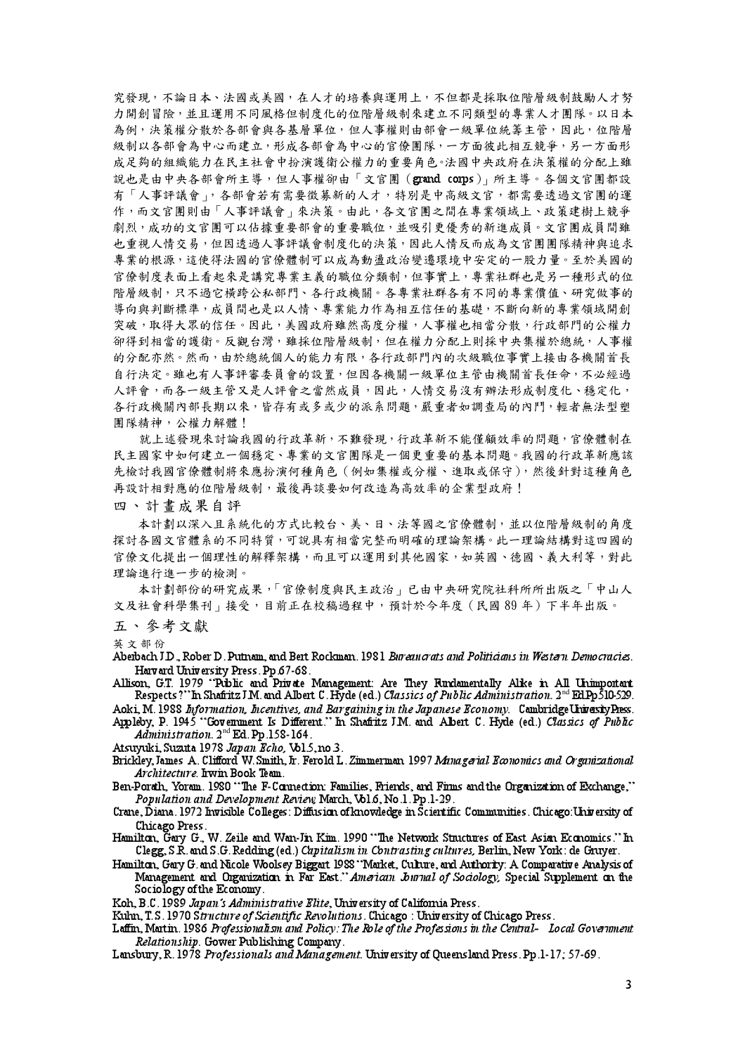究發現,不論日本、法國或美國,在人才的培養與運用上,不但都是採取位階層級制鼓勵人才努 力開創冒險,並且運用不同風格但制度化的位階層級制來建立不同類型的專業人才團隊。以日本 為例,決策權分散於各部會與各基層單位,但人事權則由部會一級單位統籌主管,因此,位階層 級制以各部會為中心而建立,形成各部會為中心的官僚團隊,一方面彼此相互競爭,另一方面形 成足夠的組織能力在民主社會中扮演護衛公權力的重要角色。法國中央政府在決策權的分配上雖 說也是由中央各部會所主導,但人事權卻由「文官團(grand corps),所主導。各個文官團都設 有「人事評議會」,各部會若有需要徵募新的人才,特別是中高級文官,都需要透過文官團的運 作,而文官團則由「人事評議會,來決策。由此,各文官團之間在專業領域上、政策建樹上競爭 劇烈, 成功的文官團可以佔據重要部會的重要職位, 並吸引更優秀的新進成員。文官團成員間雖 也重視人情交易,但因透過人事評議會制度化的決策,因此人情反而成為文官團團隊精神與追求 專業的根源,這使得法國的官僚體制可以成為動盪政治變遷環境中安定的一股力量。至於美國的 官僚制度表面上看起來是講究專業主義的職位分類制,但事實上,專業社群也是另一種形式的位 階層級制,只不過它橫跨公私部門、各行政機關。各專業社群各有不同的專業價值、研究做事的 導向與判斷標準,成員間也是以人情、專業能力作為相互信任的基礎,不斷向新的專業領域開創 突破,取得大眾的信任。因此,美國政府雖然高度分權,人事權也相當分散,行政部門的公權力 卻得到相當的護衛。反觀台灣,雖採位階層級制,但在權力分配上則採中央集權於總統,人事權 的分配亦然。然而,由於總統個人的能力有限,各行政部門內的次級職位事實上接由各機關首長 自行決定。雖也有人事評審委員會的設置,但因各機關一級單位主管由機關首長任命,不必經過 人評會,而各一級主管又是人評會之當然成員,因此,人情交易沒有辦法形成制度化、穩定化, 各行政機關內部長期以來,皆存有或多或少的派系問題,嚴重者如調查局的內鬥,輕者無法型塑 團隊精神,公權力解體!

就上述發現來討論我國的行政革新,不難發現,行政革新不能僅顧效率的問題,官僚體制在 民主國家中如何建立一個穩定、專業的文官團隊是一個更重要的基本問題。我國的行政革新應該 先檢討我國官僚體制將來應扮演何種角色(例如集權或分權、進取或保守),然後針對這種角色 再設計相對應的位階層級制,最後再談要如何改造為高效率的企業型政府!

四、計書成果自評

本計劃以深入且系統化的方式比較台、美、日、法等國之官僚體制,並以位階層級制的角度 探討各國文官體系的不同特質,可說具有相當完整而明確的理論架構。此一理論結構對這四國的 官僚文化提出一個理性的解釋架構,而且可以運用到其他國家,如英國、德國、義大利等,對此 理論進行進一步的檢測。

本計劃部份的研究成果,「官僚制度與民主政治」已由中央研究院社科所所出版之「中山人 文及社會科學集刊 | 接受, 目前正在校稿過程中, 預計於今年度 (民國89年) 下半年出版。

五、參考文獻

英文部份

Aberbach J.D., Rober D. Putnam, and Bert Rockman. 1981 Bureau crats and Politicians in Western Democracies. Harv ard University Press. Pp.67-68.

Allison, G.T. 1979 "Public and Private Management: Are They Rundamentally Alke in All Unimportant Respects?" In Shafritz J.M. and Albert C. Hyde (ed.) Classics of Public Administration. 2<sup>nd</sup> Ed.Pp 510-529.

Aoki, M. 1988 Information, Incentives, and Bargaining in the Japanese Economy. Cambridge University Press. Appleby, P. 1945 "Govenment Is Different." In Shafritz J.M. and Albert C. Hyde (ed.) Classics of Public

Administration. 2<sup>nd</sup> Ed. Pp.158-164. Atsuyuki, Suzuta 1978 Japan Echo, Vol.5, no.3.

Brickley, James A. Clifford W. Smith, Jr. Ferold L. Zimmerman 1997 Managerial Economics and Organizational Architecture. Irwin Book Team.

Ben-Porath, Yoram. 1980 "The F-Connection: Families, Friends, and Firms and the Organization of Exchange." Population and Development Review March, Vol.6, No.1. Pp.1-29.

- Crane, Diana. 1972 Invisible Colleges: Diffusion of knowledge in Scientific Communities. Chicago: University of Chicago Press.
- Hamilton, Gary G., W. Zeile and Wan-Jin Kim. 1990 "The Network Structures of East Asian Economics." In Clegg, S.R. and S.G. Redding (ed.) Capitalism in Contrasting cultures, Berlin, New York: de Gruyer.
- Hamilton, Gary G. and Nicole Woolsey Biggart 1988 "Market, Culture, and Authority: A Comparative Analysis of Management and Organization in Far East." American Journal of Sociology, Special Supplement on the Sociology of the Economy.

Koh, B.C. 1989 Japan's Administrative Elite, University of California Press.

Kuhn, T.S. 1970 Structure of Scientific Revolutions. Chicago: University of Chicago Press.

- Laffin, Martin. 1986 Professionalism and Policy: The Role of the Professions in the Central- Local Government Relationship Gower Publishing Company
- Lansbury, R. 1978 Professionals and Management. University of Queensland Press. Pp.1-17; 57-69.